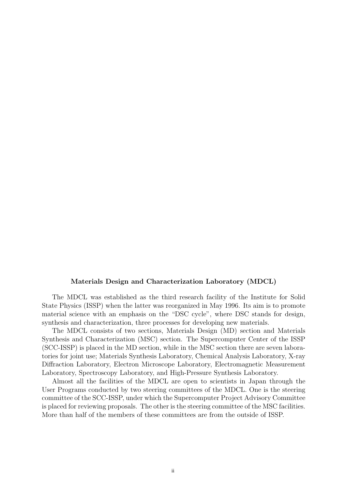## **Materials Design and Characterization Laboratory (MDCL)**

The MDCL was established as the third research facility of the Institute for Solid State Physics (ISSP) when the latter was reorganized in May 1996. Its aim is to promote material science with an emphasis on the "DSC cycle", where DSC stands for design, synthesis and characterization, three processes for developing new materials.

The MDCL consists of two sections, Materials Design (MD) section and Materials Synthesis and Characterization (MSC) section. The Supercomputer Center of the ISSP (SCC-ISSP) is placed in the MD section, while in the MSC section there are seven laboratories for joint use; Materials Synthesis Laboratory, Chemical Analysis Laboratory, X-ray Diffraction Laboratory, Electron Microscope Laboratory, Electromagnetic Measurement Laboratory, Spectroscopy Laboratory, and High-Pressure Synthesis Laboratory.

Almost all the facilities of the MDCL are open to scientists in Japan through the User Programs conducted by two steering committees of the MDCL. One is the steering committee of the SCC-ISSP, under which the Supercomputer Project Advisory Committee is placed for reviewing proposals. The other is the steering committee of the MSC facilities. More than half of the members of these committees are from the outside of ISSP.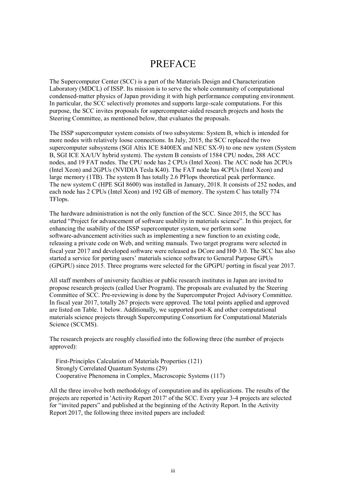## PREFACE

The Supercomputer Center (SCC) is a part of the Materials Design and Characterization Laboratory (MDCL) of ISSP. Its mission is to serve the whole community of computational condensed-matter physics of Japan providing it with high performance computing environment. In particular, the SCC selectively promotes and supports large-scale computations. For this purpose, the SCC invites proposals for supercomputer-aided research projects and hosts the Steering Committee, as mentioned below, that evaluates the proposals.

The ISSP supercomputer system consists of two subsystems: System B, which is intended for more nodes with relatively loose connections. In July, 2015, the SCC replaced the two supercomputer subsystems (SGI Altix ICE 8400EX and NEC SX-9) to one new system (System B, SGI ICE XA/UV hybrid system). The system B consists of 1584 CPU nodes, 288 ACC nodes, and 19 FAT nodes. The CPU node has 2 CPUs (Intel Xeon). The ACC node has 2CPUs (Intel Xeon) and 2GPUs (NVIDIA Tesla K40). The FAT node has 4CPUs (Intel Xeon) and large memory (1TB). The system B has totally 2.6 PFlops theoretical peak performance. The new system C (HPE SGI 8600) was installed in January, 2018. It consists of 252 nodes, and each node has 2 CPUs (Intel Xeon) and 192 GB of memory. The system C has totally 774 TFlops.

The hardware administration is not the only function of the SCC. Since 2015, the SCC has started "Project for advancement of software usability in materials science". In this project, for enhancing the usability of the ISSP supercomputer system, we perform some software-advancement activities such as implementing a new function to an existing code, releasing a private code on Web, and writing manuals. Two target programs were selected in fiscal year 2017 and developed software were released as DCore and  $H\Phi$  3.0. The SCC has also started a service for porting users' materials science software to General Purpose GPUs (GPGPU) since 2015. Three programs were selected for the GPGPU porting in fiscal year 2017.

All staff members of university faculties or public research institutes in Japan are invited to propose research projects (called User Program). The proposals are evaluated by the Steering Committee of SCC. Pre-reviewing is done by the Supercomputer Project Advisory Committee. In fiscal year 2017, totally 267 projects were approved. The total points applied and approved are listed on Table. 1 below. Additionally, we supported post-K and other computational materials science projects through Supercomputing Consortium for Computational Materials Science (SCCMS).

The research projects are roughly classified into the following three (the number of projects approved):

 First-Principles Calculation of Materials Properties (121) Strongly Correlated Quantum Systems (29) Cooperative Phenomena in Complex, Macroscopic Systems (117)

All the three involve both methodology of computation and its applications. The results of the projects are reported in 'Activity Report 2017' of the SCC. Every year 3-4 projects are selected for "invited papers" and published at the beginning of the Activity Report. In the Activity Report 2017, the following three invited papers are included: